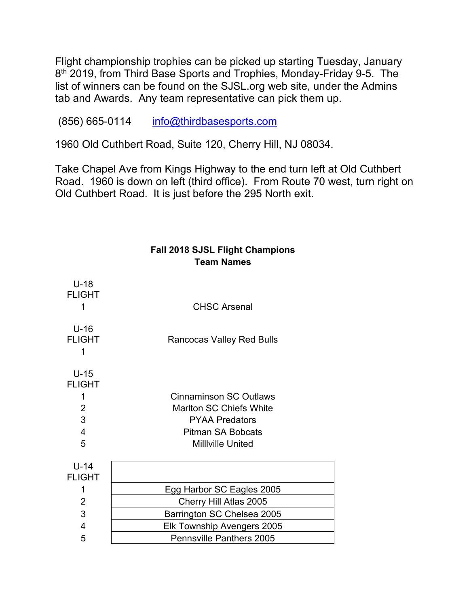Flight championship trophies can be picked up starting Tuesday, January 8<sup>th</sup> 2019, from Third Base Sports and Trophies, Monday-Friday 9-5. The list of winners can be found on the SJSL.org web site, under the Admins tab and Awards. Any team representative can pick them up.

(856) 665-0114 [info@thirdbasesports.com](mailto:info@thirdbasesports.com)

1960 Old Cuthbert Road, Suite 120, Cherry Hill, NJ 08034.

Take Chapel Ave from Kings Highway to the end turn left at Old Cuthbert Road. 1960 is down on left (third office). From Route 70 west, turn right on Old Cuthbert Road. It is just before the 295 North exit.

> **Fall 2018 SJSL Flight Champions Team Names**

| $U-18$<br><b>FLIGHT</b><br>1                                                        | <b>CHSC Arsenal</b>                                                                                                                              |  |  |
|-------------------------------------------------------------------------------------|--------------------------------------------------------------------------------------------------------------------------------------------------|--|--|
| $U-16$<br><b>FLIGHT</b><br>1                                                        | <b>Rancocas Valley Red Bulls</b>                                                                                                                 |  |  |
| $U-15$<br><b>FLIGHT</b><br>1<br>$\overline{2}$<br>3<br>$\overline{\mathbf{4}}$<br>5 | <b>Cinnaminson SC Outlaws</b><br><b>Marlton SC Chiefs White</b><br><b>PYAA Predators</b><br><b>Pitman SA Bobcats</b><br><b>Milliville United</b> |  |  |
| $U-14$<br><b>FLIGHT</b>                                                             |                                                                                                                                                  |  |  |
| 1                                                                                   | Egg Harbor SC Eagles 2005                                                                                                                        |  |  |
| 2                                                                                   | Cherry Hill Atlas 2005                                                                                                                           |  |  |
| 3                                                                                   | Barrington SC Chelsea 2005                                                                                                                       |  |  |
| 4                                                                                   | Elk Township Avengers 2005                                                                                                                       |  |  |
| 5                                                                                   | <b>Pennsville Panthers 2005</b>                                                                                                                  |  |  |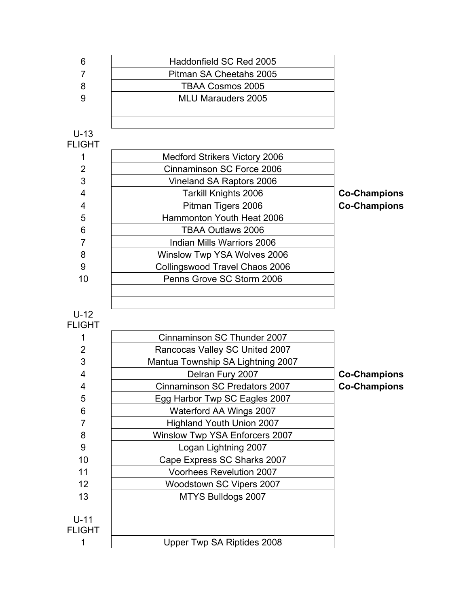| 6                       | Haddonfield SC Red 2005                                        |                     |
|-------------------------|----------------------------------------------------------------|---------------------|
| $\overline{7}$          | Pitman SA Cheetahs 2005                                        |                     |
| 8                       | <b>TBAA Cosmos 2005</b>                                        |                     |
| 9                       | <b>MLU Marauders 2005</b>                                      |                     |
|                         |                                                                |                     |
| $U-13$                  |                                                                |                     |
| <b>FLIGHT</b>           |                                                                |                     |
| 1                       | <b>Medford Strikers Victory 2006</b>                           |                     |
| $\overline{2}$          | Cinnaminson SC Force 2006                                      |                     |
| 3                       | Vineland SA Raptors 2006                                       |                     |
| 4                       | <b>Tarkill Knights 2006</b>                                    | <b>Co-Champions</b> |
| $\overline{\mathbf{4}}$ | Pitman Tigers 2006                                             | <b>Co-Champions</b> |
| 5                       | Hammonton Youth Heat 2006                                      |                     |
| 6                       | <b>TBAA Outlaws 2006</b>                                       |                     |
| $\overline{7}$          | Indian Mills Warriors 2006                                     |                     |
| 8                       | Winslow Twp YSA Wolves 2006                                    |                     |
| 9                       | Collingswood Travel Chaos 2006                                 |                     |
| 10                      | Penns Grove SC Storm 2006                                      |                     |
|                         |                                                                |                     |
|                         |                                                                |                     |
| $U-12$<br><b>FLIGHT</b> |                                                                |                     |
| 1                       | Cinnaminson SC Thunder 2007                                    |                     |
| 2                       | Rancocas Valley SC United 2007                                 |                     |
| 3                       | Mantua Township SA Lightning 2007                              |                     |
| 4                       | Delran Fury 2007                                               | <b>Co-Champions</b> |
| 4                       | <b>Cinnaminson SC Predators 2007</b>                           | <b>Co-Champions</b> |
| 5                       | Egg Harbor Twp SC Eagles 2007                                  |                     |
| 6                       | Waterford AA Wings 2007                                        |                     |
| 7                       | <b>Highland Youth Union 2007</b>                               |                     |
| 8                       | <b>Winslow Twp YSA Enforcers 2007</b>                          |                     |
| 9                       | Logan Lightning 2007                                           |                     |
| 10                      |                                                                |                     |
| 11                      | Cape Express SC Sharks 2007<br><b>Voorhees Revelution 2007</b> |                     |
| 12                      |                                                                |                     |
|                         | Woodstown SC Vipers 2007                                       |                     |
| 13                      | MTYS Bulldogs 2007                                             |                     |
| $U-11$                  |                                                                |                     |
| <b>FLIGHT</b>           |                                                                |                     |
| 1                       | Upper Twp SA Riptides 2008                                     |                     |